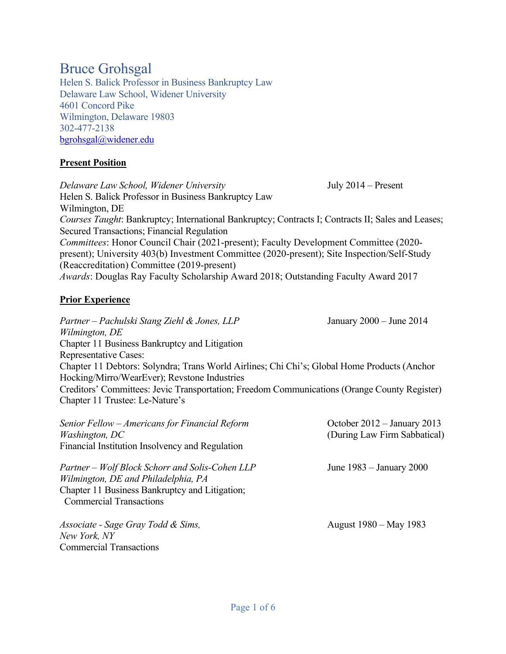# Bruce Grohsgal

Helen S. Balick Professor in Business Bankruptcy Law Delaware Law School, Widener University 4601 Concord Pike Wilmington, Delaware 19803 302-477-2138 bgrohsgal@widener.edu

## **Present Position**

*Delaware Law School, Widener University* July 2014 – Present Helen S. Balick Professor in Business Bankruptcy Law Wilmington, DE *Courses Taught*: Bankruptcy; International Bankruptcy; Contracts I; Contracts II; Sales and Leases; Secured Transactions; Financial Regulation *Committees*: Honor Council Chair (2021-present); Faculty Development Committee (2020 present); University 403(b) Investment Committee (2020-present); Site Inspection/Self-Study (Reaccreditation) Committee (2019-present) *Awards*: Douglas Ray Faculty Scholarship Award 2018; Outstanding Faculty Award 2017

## **Prior Experience**

*Partner – Pachulski Stang Ziehl & Jones, LLP* January 2000 – June 2014 *Wilmington, DE* Chapter 11 Business Bankruptcy and Litigation Representative Cases: Chapter 11 Debtors: Solyndra; Trans World Airlines; Chi Chi's; Global Home Products (Anchor Hocking/Mirro/WearEver); Revstone Industries Creditors' Committees: Jevic Transportation; Freedom Communications (Orange County Register) Chapter 11 Trustee: Le-Nature's

| Senior Fellow – Americans for Financial Reform<br><i>Washington, DC</i><br>Financial Institution Insolvency and Regulation                                                 | October 2012 - January 2013<br>(During Law Firm Sabbatical) |
|----------------------------------------------------------------------------------------------------------------------------------------------------------------------------|-------------------------------------------------------------|
| Partner – Wolf Block Schorr and Solis-Cohen LLP<br>Wilmington, DE and Philadelphia, PA<br>Chapter 11 Business Bankruptcy and Litigation;<br><b>Commercial Transactions</b> | June $1983 -$ January 2000                                  |
| Associate - Sage Gray Todd & Sims,<br>New York, NY<br><b>Commercial Transactions</b>                                                                                       | August 1980 – May 1983                                      |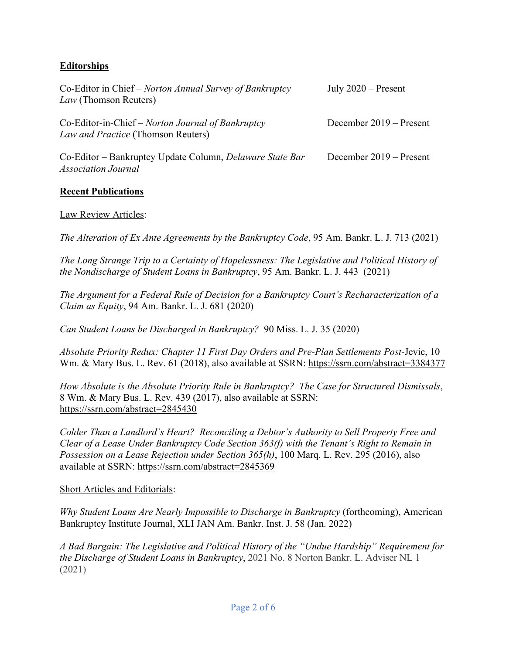## **Editorships**

| Co-Editor in Chief – Norton Annual Survey of Bankruptcy<br>Law (Thomson Reuters)        | July $2020$ – Present   |
|-----------------------------------------------------------------------------------------|-------------------------|
| Co-Editor-in-Chief – Norton Journal of Bankruptcy<br>Law and Practice (Thomson Reuters) | December 2019 – Present |
| Co-Editor – Bankruptcy Update Column, Delaware State Bar<br><b>Association Journal</b>  | December 2019 – Present |

## **Recent Publications**

## Law Review Articles:

*The Alteration of Ex Ante Agreements by the Bankruptcy Code*, 95 Am. Bankr. L. J. 713 (2021)

*The Long Strange Trip to a Certainty of Hopelessness: The Legislative and Political History of the Nondischarge of Student Loans in Bankruptcy*, 95 Am. Bankr. L. J. 443 (2021)

*The Argument for a Federal Rule of Decision for a Bankruptcy Court's Recharacterization of a Claim as Equity*, 94 Am. Bankr. L. J. 681 (2020)

*Can Student Loans be Discharged in Bankruptcy?* 90 Miss. L. J. 35 (2020)

*Absolute Priority Redux: Chapter 11 First Day Orders and Pre-Plan Settlements Post-*Jevic, 10 Wm. & Mary Bus. L. Rev. 61 (2018), also available at SSRN: https://ssrn.com/abstract=3384377

*How Absolute is the Absolute Priority Rule in Bankruptcy? The Case for Structured Dismissals*, 8 Wm. & Mary Bus. L. Rev. 439 (2017), also available at SSRN: https://ssrn.com/abstract=2845430

*Colder Than a Landlord's Heart? Reconciling a Debtor's Authority to Sell Property Free and Clear of a Lease Under Bankruptcy Code Section 363(f) with the Tenant's Right to Remain in Possession on a Lease Rejection under Section 365(h)*, 100 Marq. L. Rev. 295 (2016), also available at SSRN: https://ssrn.com/abstract=2845369

#### Short Articles and Editorials:

*Why Student Loans Are Nearly Impossible to Discharge in Bankruptcy* (forthcoming), American Bankruptcy Institute Journal, XLI JAN Am. Bankr. Inst. J. 58 (Jan. 2022)

*A Bad Bargain: The Legislative and Political History of the "Undue Hardship" Requirement for the Discharge of Student Loans in Bankruptcy*, 2021 No. 8 Norton Bankr. L. Adviser NL 1 (2021)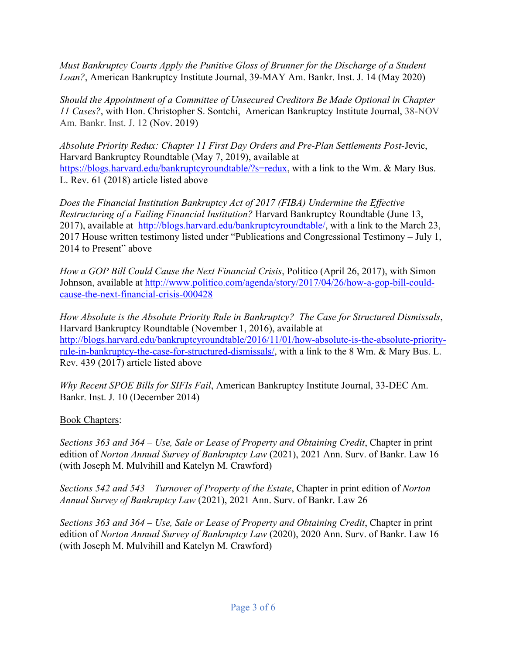*Must Bankruptcy Courts Apply the Punitive Gloss of Brunner for the Discharge of a Student Loan?*, American Bankruptcy Institute Journal, 39-MAY Am. Bankr. Inst. J. 14 (May 2020)

*Should the Appointment of a Committee of Unsecured Creditors Be Made Optional in Chapter 11 Cases?*, with Hon. Christopher S. Sontchi, American Bankruptcy Institute Journal, 38-NOV Am. Bankr. Inst. J. 12 (Nov. 2019)

*Absolute Priority Redux: Chapter 11 First Day Orders and Pre-Plan Settlements Post-*Jevic, Harvard Bankruptcy Roundtable (May 7, 2019), available at https://blogs.harvard.edu/bankruptcyroundtable/?s=redux, with a link to the Wm. & Mary Bus. L. Rev. 61 (2018) article listed above

*Does the Financial Institution Bankruptcy Act of 2017 (FIBA) Undermine the Effective Restructuring of a Failing Financial Institution?* Harvard Bankruptcy Roundtable (June 13, 2017), available at http://blogs.harvard.edu/bankruptcyroundtable/, with a link to the March 23, 2017 House written testimony listed under "Publications and Congressional Testimony – July 1, 2014 to Present" above

*How a GOP Bill Could Cause the Next Financial Crisis*, Politico (April 26, 2017), with Simon Johnson, available at http://www.politico.com/agenda/story/2017/04/26/how-a-gop-bill-couldcause-the-next-financial-crisis-000428

*How Absolute is the Absolute Priority Rule in Bankruptcy? The Case for Structured Dismissals*, Harvard Bankruptcy Roundtable (November 1, 2016), available at http://blogs.harvard.edu/bankruptcyroundtable/2016/11/01/how-absolute-is-the-absolute-priorityrule-in-bankruptcy-the-case-for-structured-dismissals/, with a link to the 8 Wm. & Mary Bus. L. Rev. 439 (2017) article listed above

*Why Recent SPOE Bills for SIFIs Fail*, American Bankruptcy Institute Journal, 33-DEC Am. Bankr. Inst. J. 10 (December 2014)

Book Chapters:

*Sections 363 and 364 – Use, Sale or Lease of Property and Obtaining Credit*, Chapter in print edition of *Norton Annual Survey of Bankruptcy Law* (2021), 2021 Ann. Surv. of Bankr. Law 16 (with Joseph M. Mulvihill and Katelyn M. Crawford)

*Sections 542 and 543 – Turnover of Property of the Estate*, Chapter in print edition of *Norton Annual Survey of Bankruptcy Law* (2021), 2021 Ann. Surv. of Bankr. Law 26

*Sections 363 and 364 – Use, Sale or Lease of Property and Obtaining Credit*, Chapter in print edition of *Norton Annual Survey of Bankruptcy Law* (2020), 2020 Ann. Surv. of Bankr. Law 16 (with Joseph M. Mulvihill and Katelyn M. Crawford)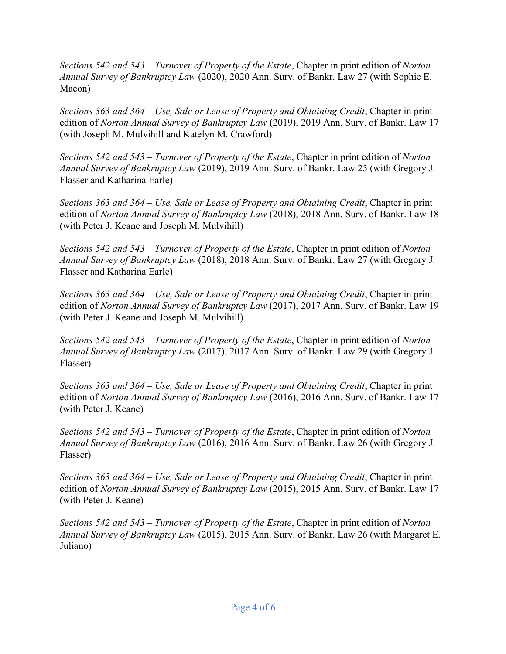*Sections 542 and 543 – Turnover of Property of the Estate*, Chapter in print edition of *Norton Annual Survey of Bankruptcy Law* (2020), 2020 Ann. Surv. of Bankr. Law 27 (with Sophie E. Macon)

*Sections 363 and 364 – Use, Sale or Lease of Property and Obtaining Credit*, Chapter in print edition of *Norton Annual Survey of Bankruptcy Law* (2019), 2019 Ann. Surv. of Bankr. Law 17 (with Joseph M. Mulvihill and Katelyn M. Crawford)

*Sections 542 and 543 – Turnover of Property of the Estate*, Chapter in print edition of *Norton Annual Survey of Bankruptcy Law* (2019), 2019 Ann. Surv. of Bankr. Law 25 (with Gregory J. Flasser and Katharina Earle)

*Sections 363 and 364 – Use, Sale or Lease of Property and Obtaining Credit*, Chapter in print edition of *Norton Annual Survey of Bankruptcy Law* (2018), 2018 Ann. Surv. of Bankr. Law 18 (with Peter J. Keane and Joseph M. Mulvihill)

*Sections 542 and 543 – Turnover of Property of the Estate*, Chapter in print edition of *Norton Annual Survey of Bankruptcy Law* (2018), 2018 Ann. Surv. of Bankr. Law 27 (with Gregory J. Flasser and Katharina Earle)

*Sections 363 and 364 – Use, Sale or Lease of Property and Obtaining Credit*, Chapter in print edition of *Norton Annual Survey of Bankruptcy Law* (2017), 2017 Ann. Surv. of Bankr. Law 19 (with Peter J. Keane and Joseph M. Mulvihill)

*Sections 542 and 543 – Turnover of Property of the Estate*, Chapter in print edition of *Norton Annual Survey of Bankruptcy Law* (2017), 2017 Ann. Surv. of Bankr. Law 29 (with Gregory J. Flasser)

*Sections 363 and 364 – Use, Sale or Lease of Property and Obtaining Credit*, Chapter in print edition of *Norton Annual Survey of Bankruptcy Law* (2016), 2016 Ann. Surv. of Bankr. Law 17 (with Peter J. Keane)

*Sections 542 and 543 – Turnover of Property of the Estate*, Chapter in print edition of *Norton Annual Survey of Bankruptcy Law* (2016), 2016 Ann. Surv. of Bankr. Law 26 (with Gregory J. Flasser)

*Sections 363 and 364 – Use, Sale or Lease of Property and Obtaining Credit*, Chapter in print edition of *Norton Annual Survey of Bankruptcy Law* (2015), 2015 Ann. Surv. of Bankr. Law 17 (with Peter J. Keane)

*Sections 542 and 543 – Turnover of Property of the Estate*, Chapter in print edition of *Norton Annual Survey of Bankruptcy Law* (2015), 2015 Ann. Surv. of Bankr. Law 26 (with Margaret E. Juliano)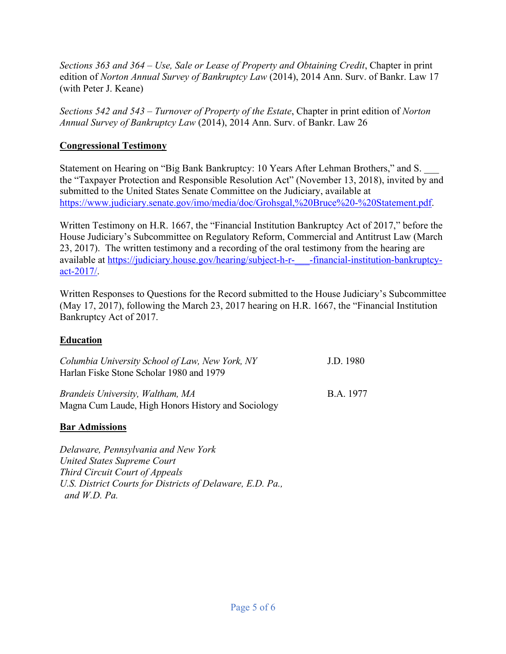*Sections 363 and 364 – Use, Sale or Lease of Property and Obtaining Credit*, Chapter in print edition of *Norton Annual Survey of Bankruptcy Law* (2014), 2014 Ann. Surv. of Bankr. Law 17 (with Peter J. Keane)

*Sections 542 and 543 – Turnover of Property of the Estate*, Chapter in print edition of *Norton Annual Survey of Bankruptcy Law* (2014), 2014 Ann. Surv. of Bankr. Law 26

# **Congressional Testimony**

Statement on Hearing on "Big Bank Bankruptcy: 10 Years After Lehman Brothers," and S. \_\_\_ the "Taxpayer Protection and Responsible Resolution Act" (November 13, 2018), invited by and submitted to the United States Senate Committee on the Judiciary, available at https://www.judiciary.senate.gov/imo/media/doc/Grohsgal,%20Bruce%20-%20Statement.pdf.

Written Testimony on H.R. 1667, the "Financial Institution Bankruptcy Act of 2017," before the House Judiciary's Subcommittee on Regulatory Reform, Commercial and Antitrust Law (March 23, 2017). The written testimony and a recording of the oral testimony from the hearing are available at https://judiciary.house.gov/hearing/subject-h-r- - financial-institution-bankruptcyact-2017/.

Written Responses to Questions for the Record submitted to the House Judiciary's Subcommittee (May 17, 2017), following the March 23, 2017 hearing on H.R. 1667, the "Financial Institution Bankruptcy Act of 2017.

# **Education**

| Columbia University School of Law, New York, NY<br>Harlan Fiske Stone Scholar 1980 and 1979 | J.D. 1980 |
|---------------------------------------------------------------------------------------------|-----------|
| Brandeis University, Waltham, MA<br>Magna Cum Laude, High Honors History and Sociology      | B.A. 1977 |

# **Bar Admissions**

*Delaware, Pennsylvania and New York United States Supreme Court Third Circuit Court of Appeals U.S. District Courts for Districts of Delaware, E.D. Pa., and W.D. Pa.*